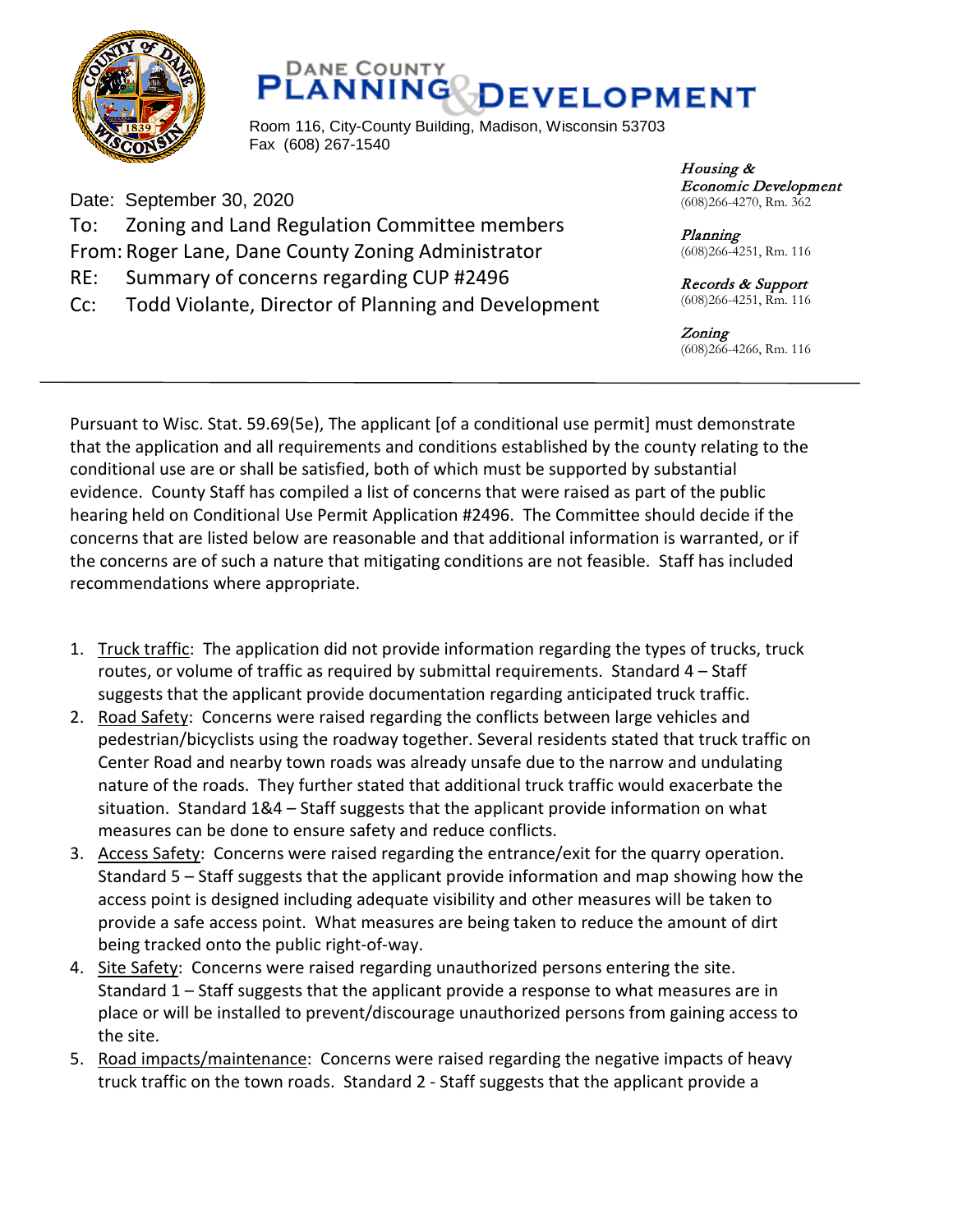



Room 116, City-County Building, Madison, Wisconsin 53703 Fax (608) 267-1540

Date: September 30, 2020 To: Zoning and Land Regulation Committee members From: Roger Lane, Dane County Zoning Administrator RE: Summary of concerns regarding CUP #2496 Cc: Todd Violante, Director of Planning and Development Housing & Economic Development (608)266-4270, Rm. 362

Planning (608)266-4251, Rm. 116

Records & Support (608)266-4251, Rm. 116

Zoning (608)266-4266, Rm. 116

Pursuant to Wisc. Stat. 59.69(5e), The applicant [of a conditional use permit] must demonstrate that the application and all requirements and conditions established by the county relating to the conditional use are or shall be satisfied, both of which must be supported by substantial evidence. County Staff has compiled a list of concerns that were raised as part of the public hearing held on Conditional Use Permit Application #2496. The Committee should decide if the concerns that are listed below are reasonable and that additional information is warranted, or if the concerns are of such a nature that mitigating conditions are not feasible. Staff has included recommendations where appropriate.

- 1. Truck traffic: The application did not provide information regarding the types of trucks, truck routes, or volume of traffic as required by submittal requirements. Standard 4 – Staff suggests that the applicant provide documentation regarding anticipated truck traffic.
- 2. Road Safety: Concerns were raised regarding the conflicts between large vehicles and pedestrian/bicyclists using the roadway together. Several residents stated that truck traffic on Center Road and nearby town roads was already unsafe due to the narrow and undulating nature of the roads. They further stated that additional truck traffic would exacerbate the situation. Standard 1&4 – Staff suggests that the applicant provide information on what measures can be done to ensure safety and reduce conflicts.
- 3. Access Safety: Concerns were raised regarding the entrance/exit for the quarry operation. Standard 5 – Staff suggests that the applicant provide information and map showing how the access point is designed including adequate visibility and other measures will be taken to provide a safe access point. What measures are being taken to reduce the amount of dirt being tracked onto the public right-of-way.
- 4. Site Safety: Concerns were raised regarding unauthorized persons entering the site. Standard 1 – Staff suggests that the applicant provide a response to what measures are in place or will be installed to prevent/discourage unauthorized persons from gaining access to the site.
- 5. Road impacts/maintenance: Concerns were raised regarding the negative impacts of heavy truck traffic on the town roads. Standard 2 - Staff suggests that the applicant provide a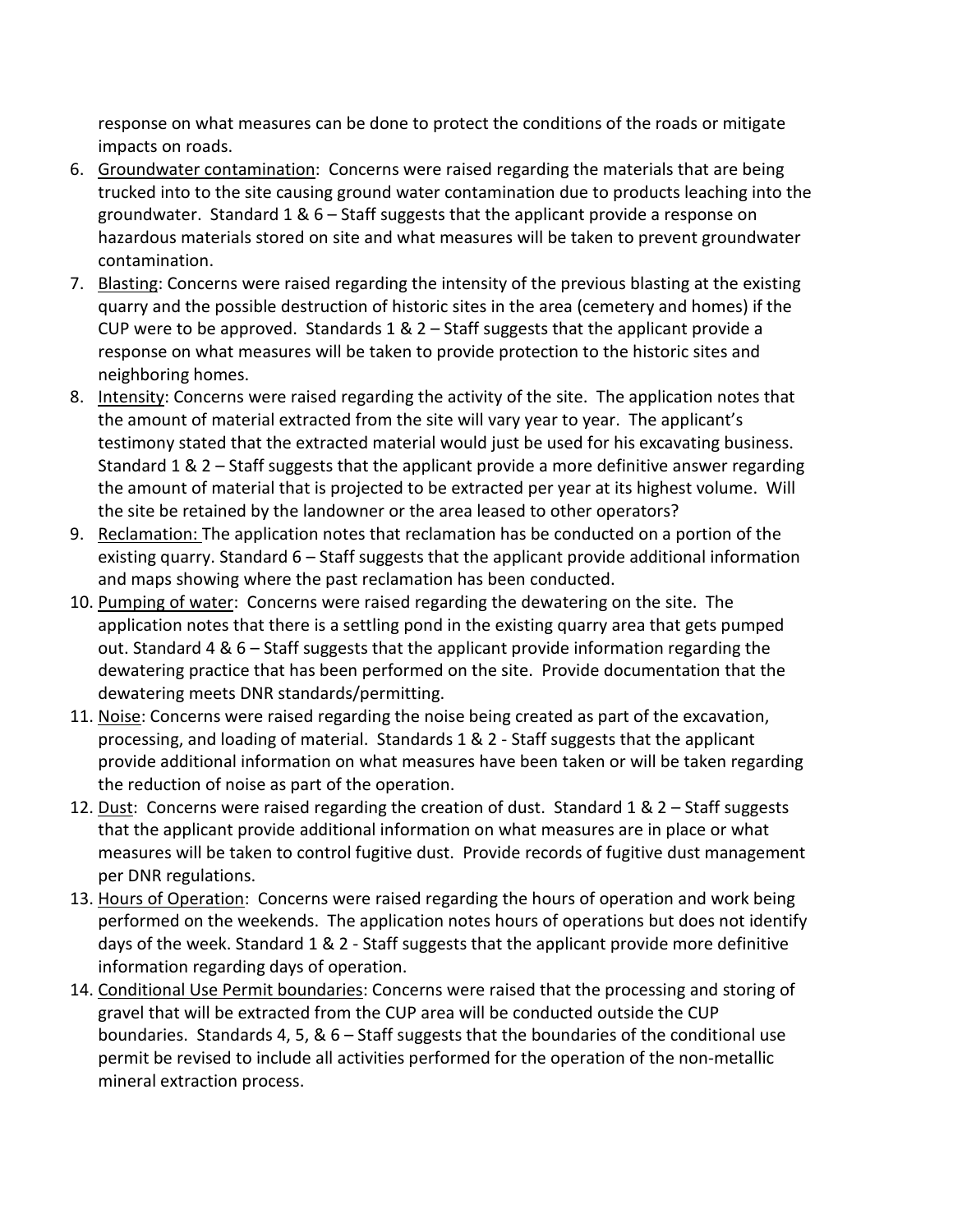response on what measures can be done to protect the conditions of the roads or mitigate impacts on roads.

- 6. Groundwater contamination: Concerns were raised regarding the materials that are being trucked into to the site causing ground water contamination due to products leaching into the groundwater. Standard 1 & 6 – Staff suggests that the applicant provide a response on hazardous materials stored on site and what measures will be taken to prevent groundwater contamination.
- 7. Blasting: Concerns were raised regarding the intensity of the previous blasting at the existing quarry and the possible destruction of historic sites in the area (cemetery and homes) if the CUP were to be approved. Standards 1 & 2 – Staff suggests that the applicant provide a response on what measures will be taken to provide protection to the historic sites and neighboring homes.
- 8. Intensity: Concerns were raised regarding the activity of the site. The application notes that the amount of material extracted from the site will vary year to year. The applicant's testimony stated that the extracted material would just be used for his excavating business. Standard 1 & 2 – Staff suggests that the applicant provide a more definitive answer regarding the amount of material that is projected to be extracted per year at its highest volume. Will the site be retained by the landowner or the area leased to other operators?
- 9. Reclamation: The application notes that reclamation has be conducted on a portion of the existing quarry. Standard 6 – Staff suggests that the applicant provide additional information and maps showing where the past reclamation has been conducted.
- 10. Pumping of water: Concerns were raised regarding the dewatering on the site. The application notes that there is a settling pond in the existing quarry area that gets pumped out. Standard 4 & 6 – Staff suggests that the applicant provide information regarding the dewatering practice that has been performed on the site. Provide documentation that the dewatering meets DNR standards/permitting.
- 11. Noise: Concerns were raised regarding the noise being created as part of the excavation, processing, and loading of material. Standards 1 & 2 - Staff suggests that the applicant provide additional information on what measures have been taken or will be taken regarding the reduction of noise as part of the operation.
- 12. Dust: Concerns were raised regarding the creation of dust. Standard  $1 & 2 -$  Staff suggests that the applicant provide additional information on what measures are in place or what measures will be taken to control fugitive dust. Provide records of fugitive dust management per DNR regulations.
- 13. Hours of Operation: Concerns were raised regarding the hours of operation and work being performed on the weekends. The application notes hours of operations but does not identify days of the week. Standard 1 & 2 - Staff suggests that the applicant provide more definitive information regarding days of operation.
- 14. Conditional Use Permit boundaries: Concerns were raised that the processing and storing of gravel that will be extracted from the CUP area will be conducted outside the CUP boundaries. Standards 4, 5, &  $6 -$ Staff suggests that the boundaries of the conditional use permit be revised to include all activities performed for the operation of the non-metallic mineral extraction process.